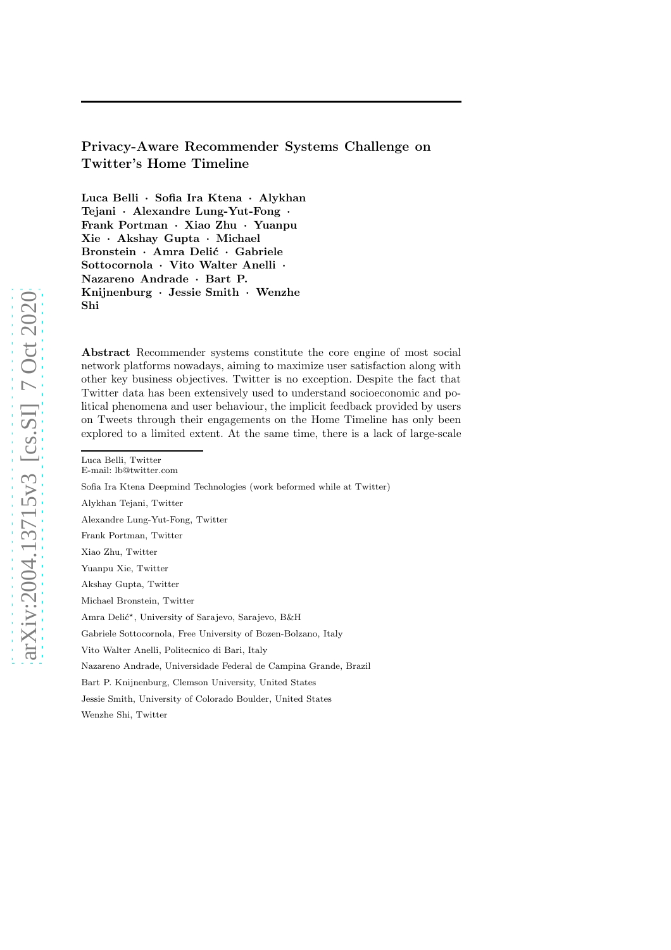# Privacy-Aware Recommender Systems Challenge on Twitter's Home Timeline

Luca Belli · Sofia Ira Ktena · Alykhan Tejani · Alexandre Lung-Yut-Fong · Frank Portman · Xiao Zhu · Yuanpu Xie · Akshay Gupta · Michael Bronstein · Amra Delić · Gabriele Sottocornola · Vito Walter Anelli · Nazareno Andrade · Bart P. Knijnenburg · Jessie Smith · Wenzhe Shi

Abstract Recommender systems constitute the core engine of most social network platforms nowadays, aiming to maximize user satisfaction along with other key business objectives. Twitter is no exception. Despite the fact that Twitter data has been extensively used to understand socioeconomic and political phenomena and user behaviour, the implicit feedback provided by users on Tweets through their engagements on the Home Timeline has only been explored to a limited extent. At the same time, there is a lack of large-scale

Alykhan Tejani, Twitter

Alexandre Lung-Yut-Fong, Twitter

Frank Portman, Twitter

Xiao Zhu, Twitter

Yuanpu Xie, Twitter

Akshay Gupta, Twitter

Michael Bronstein, Twitter

Amra Delić<sup>\*</sup>, University of Sarajevo, Sarajevo, B&H

Gabriele Sottocornola, Free University of Bozen-Bolzano, Italy

Vito Walter Anelli, Politecnico di Bari, Italy

Nazareno Andrade, Universidade Federal de Campina Grande, Brazil

Bart P. Knijnenburg, Clemson University, United States

Jessie Smith, University of Colorado Boulder, United States

Wenzhe Shi, Twitter

Luca Belli, Twitter

E-mail: lb@twitter.com

Sofia Ira Ktena Deepmind Technologies (work beformed while at Twitter)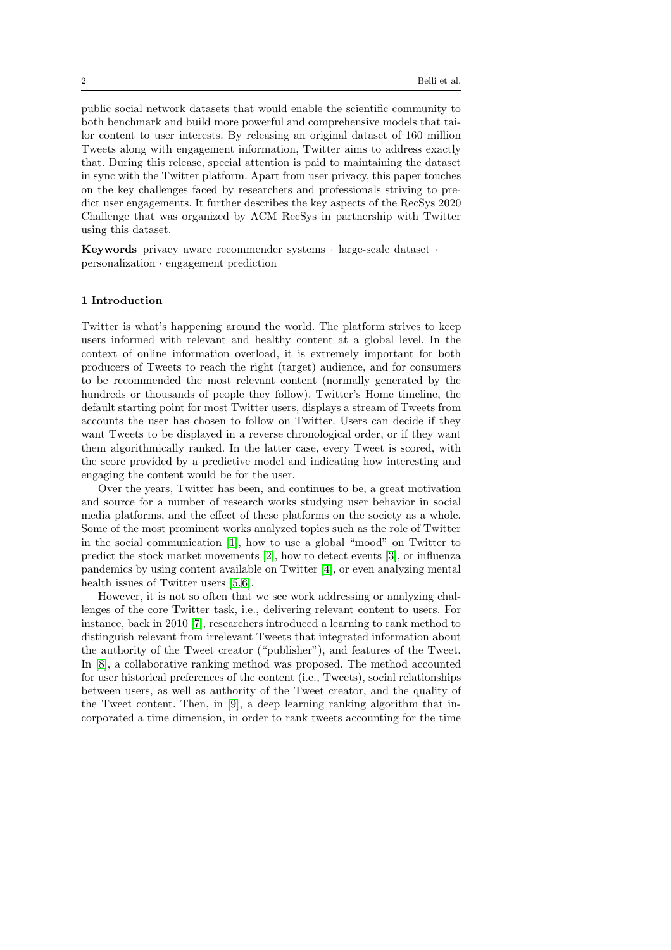public social network datasets that would enable the scientific community to both benchmark and build more powerful and comprehensive models that tailor content to user interests. By releasing an original dataset of 160 million Tweets along with engagement information, Twitter aims to address exactly that. During this release, special attention is paid to maintaining the dataset in sync with the Twitter platform. Apart from user privacy, this paper touches on the key challenges faced by researchers and professionals striving to predict user engagements. It further describes the key aspects of the RecSys 2020 Challenge that was organized by ACM RecSys in partnership with Twitter using this dataset.

Keywords privacy aware recommender systems · large-scale dataset · personalization · engagement prediction

# 1 Introduction

Twitter is what's happening around the world. The platform strives to keep users informed with relevant and healthy content at a global level. In the context of online information overload, it is extremely important for both producers of Tweets to reach the right (target) audience, and for consumers to be recommended the most relevant content (normally generated by the hundreds or thousands of people they follow). Twitter's Home timeline, the default starting point for most Twitter users, displays a stream of Tweets from accounts the user has chosen to follow on Twitter. Users can decide if they want Tweets to be displayed in a reverse chronological order, or if they want them algorithmically ranked. In the latter case, every Tweet is scored, with the score provided by a predictive model and indicating how interesting and engaging the content would be for the user.

Over the years, Twitter has been, and continues to be, a great motivation and source for a number of research works studying user behavior in social media platforms, and the effect of these platforms on the society as a whole. Some of the most prominent works analyzed topics such as the role of Twitter in the social communication [\[1\]](#page-13-0), how to use a global "mood" on Twitter to predict the stock market movements [\[2\]](#page-13-1), how to detect events [\[3\]](#page-13-2), or influenza pandemics by using content available on Twitter [\[4\]](#page-13-3), or even analyzing mental health issues of Twitter users [\[5,](#page-13-4)[6\]](#page-13-5).

However, it is not so often that we see work addressing or analyzing challenges of the core Twitter task, i.e., delivering relevant content to users. For instance, back in 2010 [\[7\]](#page-13-6), researchers introduced a learning to rank method to distinguish relevant from irrelevant Tweets that integrated information about the authority of the Tweet creator ("publisher"), and features of the Tweet. In [\[8\]](#page-13-7), a collaborative ranking method was proposed. The method accounted for user historical preferences of the content (i.e., Tweets), social relationships between users, as well as authority of the Tweet creator, and the quality of the Tweet content. Then, in [\[9\]](#page-14-0), a deep learning ranking algorithm that incorporated a time dimension, in order to rank tweets accounting for the time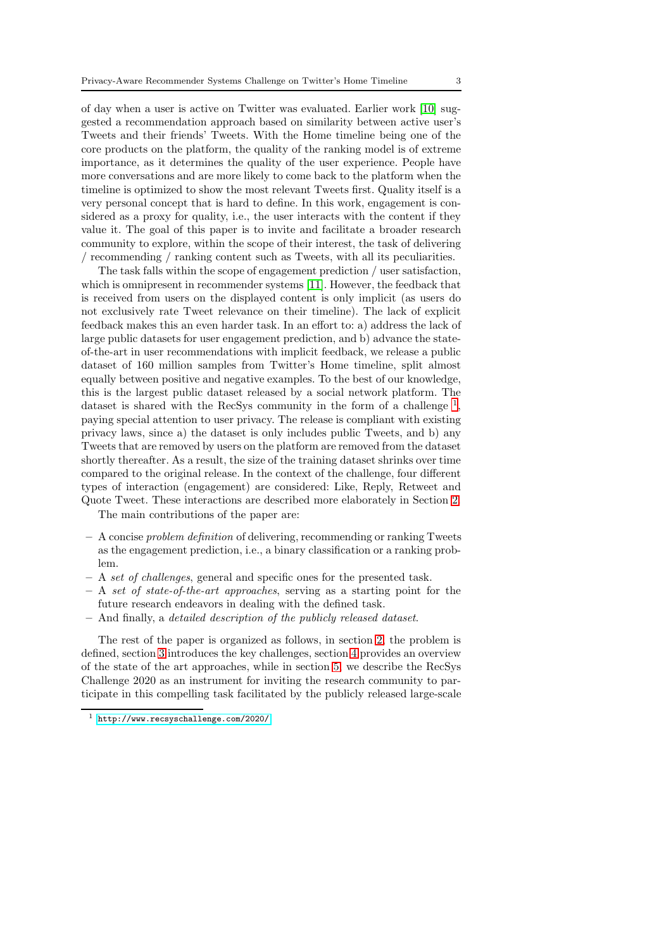of day when a user is active on Twitter was evaluated. Earlier work [\[10\]](#page-14-1) suggested a recommendation approach based on similarity between active user's Tweets and their friends' Tweets. With the Home timeline being one of the core products on the platform, the quality of the ranking model is of extreme importance, as it determines the quality of the user experience. People have more conversations and are more likely to come back to the platform when the timeline is optimized to show the most relevant Tweets first. Quality itself is a very personal concept that is hard to define. In this work, engagement is considered as a proxy for quality, i.e., the user interacts with the content if they value it. The goal of this paper is to invite and facilitate a broader research community to explore, within the scope of their interest, the task of delivering / recommending / ranking content such as Tweets, with all its peculiarities.

The task falls within the scope of engagement prediction / user satisfaction, which is omnipresent in recommender systems [\[11\]](#page-14-2). However, the feedback that is received from users on the displayed content is only implicit (as users do not exclusively rate Tweet relevance on their timeline). The lack of explicit feedback makes this an even harder task. In an effort to: a) address the lack of large public datasets for user engagement prediction, and b) advance the stateof-the-art in user recommendations with implicit feedback, we release a public dataset of 160 million samples from Twitter's Home timeline, split almost equally between positive and negative examples. To the best of our knowledge, this is the largest public dataset released by a social network platform. The dataset is shared with the RecSys community in the form of a challenge<sup>[1](#page-2-0)</sup>, paying special attention to user privacy. The release is compliant with existing privacy laws, since a) the dataset is only includes public Tweets, and b) any Tweets that are removed by users on the platform are removed from the dataset shortly thereafter. As a result, the size of the training dataset shrinks over time compared to the original release. In the context of the challenge, four different types of interaction (engagement) are considered: Like, Reply, Retweet and Quote Tweet. These interactions are described more elaborately in Section [2.](#page-3-0)

The main contributions of the paper are:

- A concise problem definition of delivering, recommending or ranking Tweets as the engagement prediction, i.e., a binary classification or a ranking problem.
- A set of challenges, general and specific ones for the presented task.
- A set of state-of-the-art approaches, serving as a starting point for the future research endeavors in dealing with the defined task.
- And finally, a detailed description of the publicly released dataset.

The rest of the paper is organized as follows, in section [2,](#page-3-0) the problem is defined, section [3](#page-4-0) introduces the key challenges, section [4](#page-5-0) provides an overview of the state of the art approaches, while in section [5,](#page-8-0) we describe the RecSys Challenge 2020 as an instrument for inviting the research community to participate in this compelling task facilitated by the publicly released large-scale

<span id="page-2-0"></span><sup>1</sup> <http://www.recsyschallenge.com/2020/>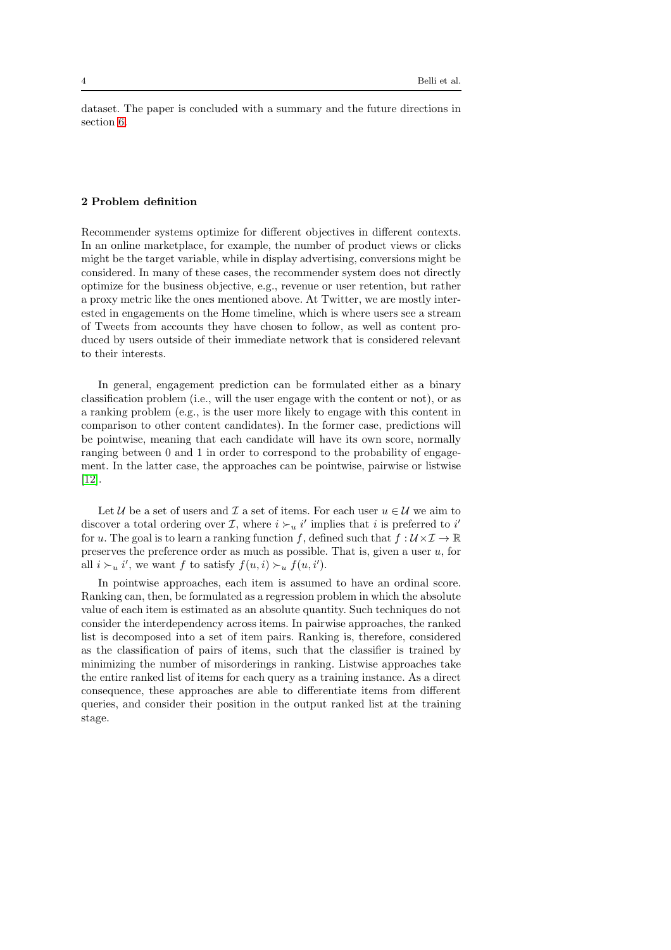dataset. The paper is concluded with a summary and the future directions in section [6.](#page-13-8)

# <span id="page-3-0"></span>2 Problem definition

Recommender systems optimize for different objectives in different contexts. In an online marketplace, for example, the number of product views or clicks might be the target variable, while in display advertising, conversions might be considered. In many of these cases, the recommender system does not directly optimize for the business objective, e.g., revenue or user retention, but rather a proxy metric like the ones mentioned above. At Twitter, we are mostly interested in engagements on the Home timeline, which is where users see a stream of Tweets from accounts they have chosen to follow, as well as content produced by users outside of their immediate network that is considered relevant to their interests.

In general, engagement prediction can be formulated either as a binary classification problem (i.e., will the user engage with the content or not), or as a ranking problem (e.g., is the user more likely to engage with this content in comparison to other content candidates). In the former case, predictions will be pointwise, meaning that each candidate will have its own score, normally ranging between 0 and 1 in order to correspond to the probability of engagement. In the latter case, the approaches can be pointwise, pairwise or listwise [\[12\]](#page-14-3).

Let U be a set of users and I a set of items. For each user  $u \in U$  we aim to discover a total ordering over  $\mathcal{I}$ , where  $i \succ_u i'$  implies that i is preferred to i' for u. The goal is to learn a ranking function f, defined such that  $f: U \times I \to \mathbb{R}$ preserves the preference order as much as possible. That is, given a user  $u$ , for all  $i \succ_u i'$ , we want f to satisfy  $f(u, i) \succ_u f(u, i')$ .

In pointwise approaches, each item is assumed to have an ordinal score. Ranking can, then, be formulated as a regression problem in which the absolute value of each item is estimated as an absolute quantity. Such techniques do not consider the interdependency across items. In pairwise approaches, the ranked list is decomposed into a set of item pairs. Ranking is, therefore, considered as the classification of pairs of items, such that the classifier is trained by minimizing the number of misorderings in ranking. Listwise approaches take the entire ranked list of items for each query as a training instance. As a direct consequence, these approaches are able to differentiate items from different queries, and consider their position in the output ranked list at the training stage.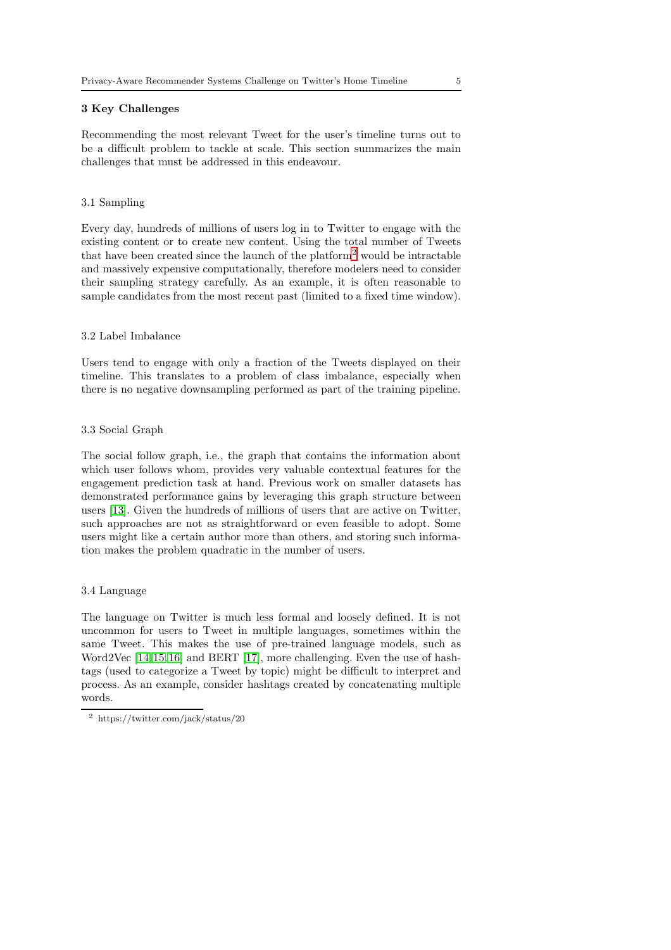## <span id="page-4-0"></span>3 Key Challenges

Recommending the most relevant Tweet for the user's timeline turns out to be a difficult problem to tackle at scale. This section summarizes the main challenges that must be addressed in this endeavour.

## 3.1 Sampling

Every day, hundreds of millions of users log in to Twitter to engage with the existing content or to create new content. Using the total number of Tweets that have been created since the launch of the platform[2](#page-4-1) would be intractable and massively expensive computationally, therefore modelers need to consider their sampling strategy carefully. As an example, it is often reasonable to sample candidates from the most recent past (limited to a fixed time window).

# 3.2 Label Imbalance

Users tend to engage with only a fraction of the Tweets displayed on their timeline. This translates to a problem of class imbalance, especially when there is no negative downsampling performed as part of the training pipeline.

## 3.3 Social Graph

The social follow graph, i.e., the graph that contains the information about which user follows whom, provides very valuable contextual features for the engagement prediction task at hand. Previous work on smaller datasets has demonstrated performance gains by leveraging this graph structure between users [\[13\]](#page-14-4). Given the hundreds of millions of users that are active on Twitter, such approaches are not as straightforward or even feasible to adopt. Some users might like a certain author more than others, and storing such information makes the problem quadratic in the number of users.

#### 3.4 Language

The language on Twitter is much less formal and loosely defined. It is not uncommon for users to Tweet in multiple languages, sometimes within the same Tweet. This makes the use of pre-trained language models, such as Word2Vec [\[14,](#page-14-5)[15,](#page-14-6)[16\]](#page-14-7) and BERT [\[17\]](#page-14-8), more challenging. Even the use of hashtags (used to categorize a Tweet by topic) might be difficult to interpret and process. As an example, consider hashtags created by concatenating multiple words.

<span id="page-4-1"></span> $^2\,$ https://twitter.com/jack/status/20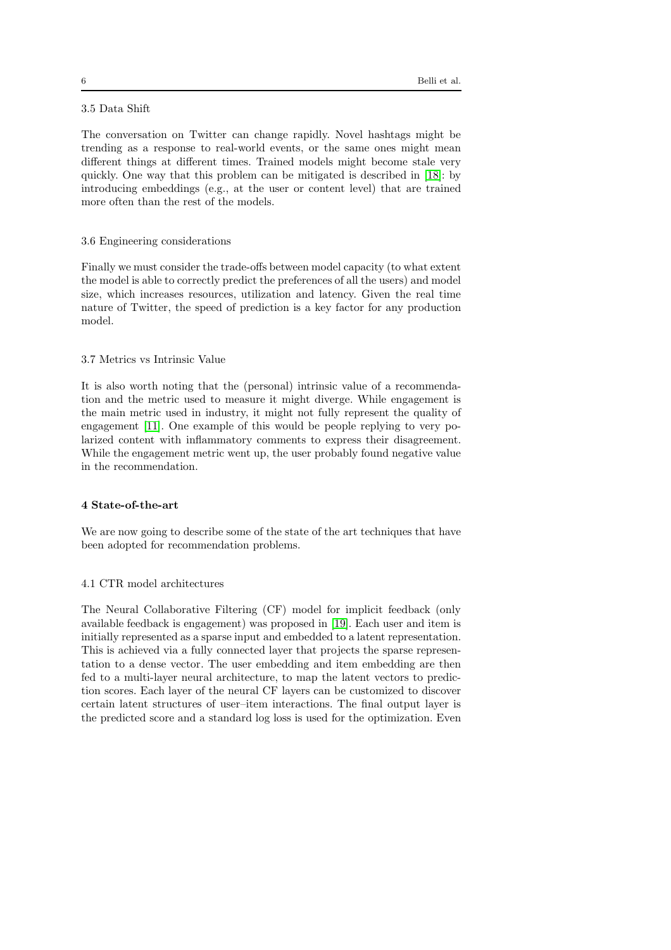# 3.5 Data Shift

The conversation on Twitter can change rapidly. Novel hashtags might be trending as a response to real-world events, or the same ones might mean different things at different times. Trained models might become stale very quickly. One way that this problem can be mitigated is described in [\[18\]](#page-14-9): by introducing embeddings (e.g., at the user or content level) that are trained more often than the rest of the models.

## 3.6 Engineering considerations

Finally we must consider the trade-offs between model capacity (to what extent the model is able to correctly predict the preferences of all the users) and model size, which increases resources, utilization and latency. Given the real time nature of Twitter, the speed of prediction is a key factor for any production model.

#### 3.7 Metrics vs Intrinsic Value

It is also worth noting that the (personal) intrinsic value of a recommendation and the metric used to measure it might diverge. While engagement is the main metric used in industry, it might not fully represent the quality of engagement [\[11\]](#page-14-2). One example of this would be people replying to very polarized content with inflammatory comments to express their disagreement. While the engagement metric went up, the user probably found negative value in the recommendation.

## <span id="page-5-0"></span>4 State-of-the-art

We are now going to describe some of the state of the art techniques that have been adopted for recommendation problems.

## 4.1 CTR model architectures

The Neural Collaborative Filtering (CF) model for implicit feedback (only available feedback is engagement) was proposed in [\[19\]](#page-14-10). Each user and item is initially represented as a sparse input and embedded to a latent representation. This is achieved via a fully connected layer that projects the sparse representation to a dense vector. The user embedding and item embedding are then fed to a multi-layer neural architecture, to map the latent vectors to prediction scores. Each layer of the neural CF layers can be customized to discover certain latent structures of user–item interactions. The final output layer is the predicted score and a standard log loss is used for the optimization. Even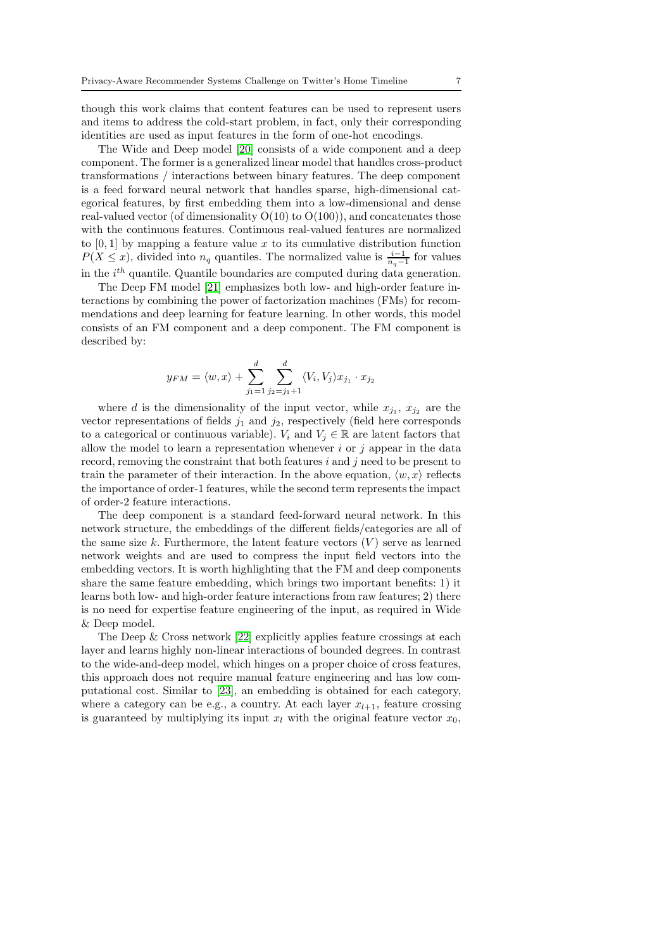though this work claims that content features can be used to represent users and items to address the cold-start problem, in fact, only their corresponding identities are used as input features in the form of one-hot encodings.

The Wide and Deep model [\[20\]](#page-14-11) consists of a wide component and a deep component. The former is a generalized linear model that handles cross-product transformations / interactions between binary features. The deep component is a feed forward neural network that handles sparse, high-dimensional categorical features, by first embedding them into a low-dimensional and dense real-valued vector (of dimensionality  $O(10)$  to  $O(100)$ ), and concatenates those with the continuous features. Continuous real-valued features are normalized to  $[0, 1]$  by mapping a feature value x to its cumulative distribution function  $P(X \leq x)$ , divided into  $n_q$  quantiles. The normalized value is  $\frac{i-1}{n_q-1}$  for values in the  $i^{th}$  quantile. Quantile boundaries are computed during data generation.

The Deep FM model [\[21\]](#page-14-12) emphasizes both low- and high-order feature interactions by combining the power of factorization machines (FMs) for recommendations and deep learning for feature learning. In other words, this model consists of an FM component and a deep component. The FM component is described by:

$$
y_{FM} = \langle w, x \rangle + \sum_{j_1=1}^d \sum_{j_2=j_1+1}^d \langle V_i, V_j \rangle x_{j_1} \cdot x_{j_2}
$$

where d is the dimensionality of the input vector, while  $x_{j_1}, x_{j_2}$  are the vector representations of fields  $j_1$  and  $j_2$ , respectively (field here corresponds to a categorical or continuous variable).  $V_i$  and  $V_j \in \mathbb{R}$  are latent factors that allow the model to learn a representation whenever  $i$  or  $j$  appear in the data record, removing the constraint that both features  $i$  and  $j$  need to be present to train the parameter of their interaction. In the above equation,  $\langle w, x \rangle$  reflects the importance of order-1 features, while the second term represents the impact of order-2 feature interactions.

The deep component is a standard feed-forward neural network. In this network structure, the embeddings of the different fields/categories are all of the same size  $k$ . Furthermore, the latent feature vectors  $(V)$  serve as learned network weights and are used to compress the input field vectors into the embedding vectors. It is worth highlighting that the FM and deep components share the same feature embedding, which brings two important benefits: 1) it learns both low- and high-order feature interactions from raw features; 2) there is no need for expertise feature engineering of the input, as required in Wide & Deep model.

The Deep & Cross network [\[22\]](#page-14-13) explicitly applies feature crossings at each layer and learns highly non-linear interactions of bounded degrees. In contrast to the wide-and-deep model, which hinges on a proper choice of cross features, this approach does not require manual feature engineering and has low computational cost. Similar to [\[23\]](#page-14-14), an embedding is obtained for each category, where a category can be e.g., a country. At each layer  $x_{l+1}$ , feature crossing is guaranteed by multiplying its input  $x_l$  with the original feature vector  $x_0$ ,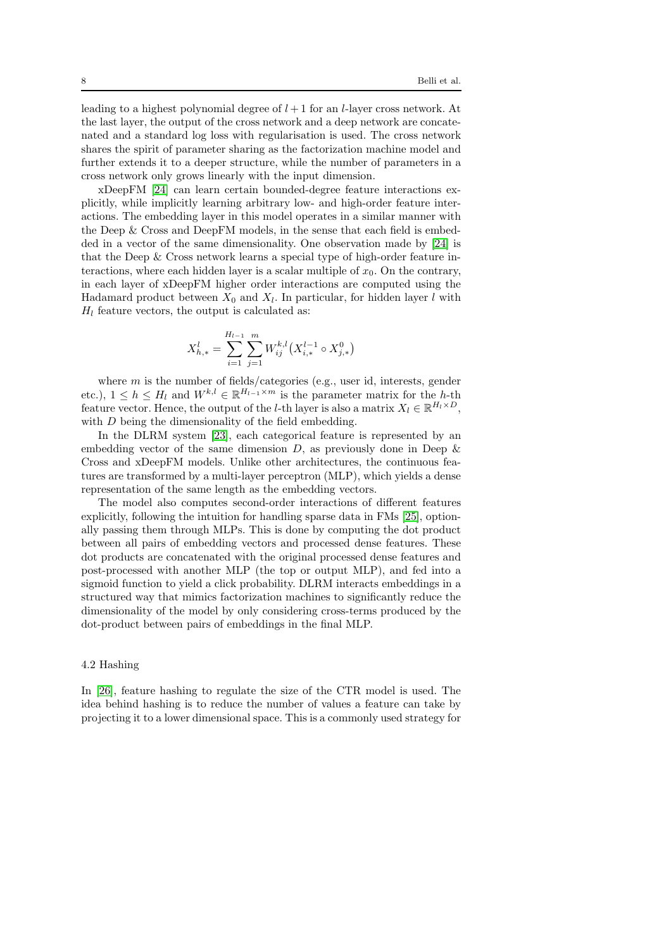leading to a highest polynomial degree of  $l + 1$  for an l-layer cross network. At the last layer, the output of the cross network and a deep network are concatenated and a standard log loss with regularisation is used. The cross network shares the spirit of parameter sharing as the factorization machine model and further extends it to a deeper structure, while the number of parameters in a cross network only grows linearly with the input dimension.

xDeepFM [\[24\]](#page-14-15) can learn certain bounded-degree feature interactions explicitly, while implicitly learning arbitrary low- and high-order feature interactions. The embedding layer in this model operates in a similar manner with the Deep & Cross and DeepFM models, in the sense that each field is embedded in a vector of the same dimensionality. One observation made by [\[24\]](#page-14-15) is that the Deep & Cross network learns a special type of high-order feature interactions, where each hidden layer is a scalar multiple of  $x_0$ . On the contrary, in each layer of xDeepFM higher order interactions are computed using the Hadamard product between  $X_0$  and  $X_l$ . In particular, for hidden layer l with  $H_l$  feature vectors, the output is calculated as:

$$
X_{h,*}^l = \sum_{i=1}^{H_{l-1}} \sum_{j=1}^m W_{ij}^{k,l} (X_{i,*}^{l-1} \circ X_{j,*}^0)
$$

where  $m$  is the number of fields/categories (e.g., user id, interests, gender etc.),  $1 \leq h \leq H_l$  and  $W^{k,l} \in \mathbb{R}^{H_{l-1} \times m}$  is the parameter matrix for the h-th feature vector. Hence, the output of the *l*-th layer is also a matrix  $X_l \in \mathbb{R}^{H_l \times D}$ , with  $D$  being the dimensionality of the field embedding.

In the DLRM system [\[23\]](#page-14-14), each categorical feature is represented by an embedding vector of the same dimension  $D$ , as previously done in Deep  $\&$ Cross and xDeepFM models. Unlike other architectures, the continuous features are transformed by a multi-layer perceptron (MLP), which yields a dense representation of the same length as the embedding vectors.

The model also computes second-order interactions of different features explicitly, following the intuition for handling sparse data in FMs [\[25\]](#page-14-16), optionally passing them through MLPs. This is done by computing the dot product between all pairs of embedding vectors and processed dense features. These dot products are concatenated with the original processed dense features and post-processed with another MLP (the top or output MLP), and fed into a sigmoid function to yield a click probability. DLRM interacts embeddings in a structured way that mimics factorization machines to significantly reduce the dimensionality of the model by only considering cross-terms produced by the dot-product between pairs of embeddings in the final MLP.

#### 4.2 Hashing

In [\[26\]](#page-14-17), feature hashing to regulate the size of the CTR model is used. The idea behind hashing is to reduce the number of values a feature can take by projecting it to a lower dimensional space. This is a commonly used strategy for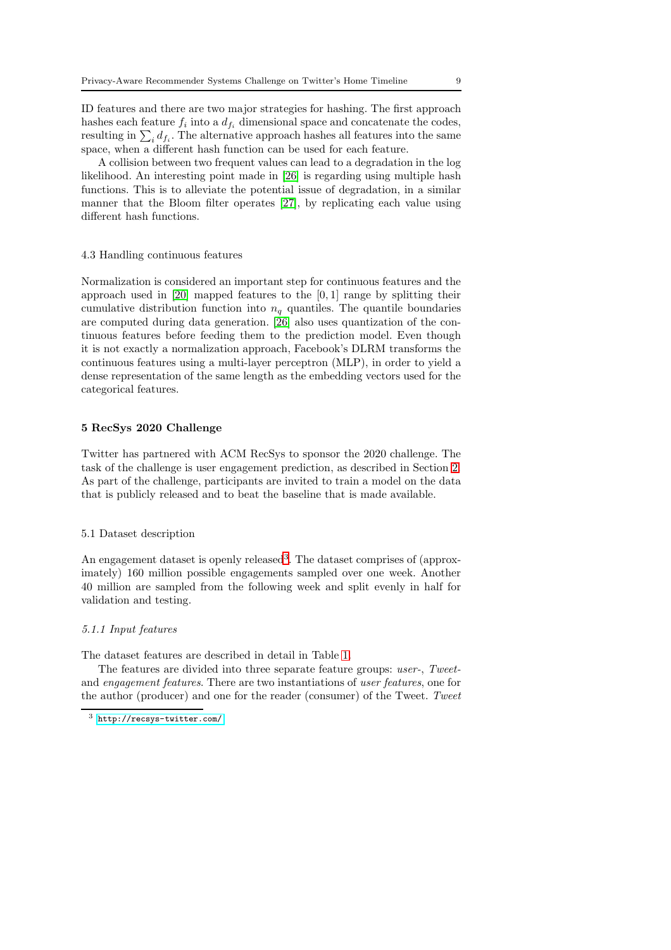ID features and there are two major strategies for hashing. The first approach hashes each feature  $f_i$  into a  $d_{f_i}$  dimensional space and concatenate the codes, resulting in  $\sum_i d_{f_i}$ . The alternative approach hashes all features into the same space, when a different hash function can be used for each feature.

A collision between two frequent values can lead to a degradation in the log likelihood. An interesting point made in [\[26\]](#page-14-17) is regarding using multiple hash functions. This is to alleviate the potential issue of degradation, in a similar manner that the Bloom filter operates [\[27\]](#page-14-18), by replicating each value using different hash functions.

### 4.3 Handling continuous features

Normalization is considered an important step for continuous features and the approach used in [\[20\]](#page-14-11) mapped features to the [0, 1] range by splitting their cumulative distribution function into  $n_q$  quantiles. The quantile boundaries are computed during data generation. [\[26\]](#page-14-17) also uses quantization of the continuous features before feeding them to the prediction model. Even though it is not exactly a normalization approach, Facebook's DLRM transforms the continuous features using a multi-layer perceptron (MLP), in order to yield a dense representation of the same length as the embedding vectors used for the categorical features.

## <span id="page-8-0"></span>5 RecSys 2020 Challenge

Twitter has partnered with ACM RecSys to sponsor the 2020 challenge. The task of the challenge is user engagement prediction, as described in Section [2.](#page-3-0) As part of the challenge, participants are invited to train a model on the data that is publicly released and to beat the baseline that is made available.

#### 5.1 Dataset description

An engagement dataset is openly released<sup>[3](#page-8-1)</sup>. The dataset comprises of (approximately) 160 million possible engagements sampled over one week. Another 40 million are sampled from the following week and split evenly in half for validation and testing.

#### 5.1.1 Input features

The dataset features are described in detail in Table [1.](#page-9-0)

The features are divided into three separate feature groups: user-, Tweetand engagement features. There are two instantiations of user features, one for the author (producer) and one for the reader (consumer) of the Tweet. Tweet

<span id="page-8-1"></span><sup>3</sup> <http://recsys-twitter.com/>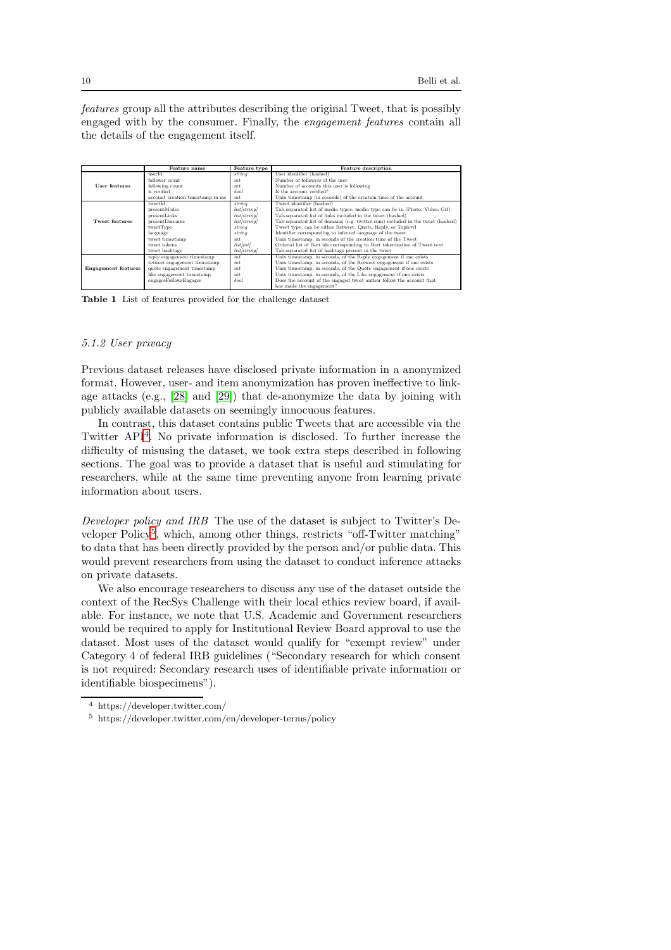features group all the attributes describing the original Tweet, that is possibly engaged with by the consumer. Finally, the engagement features contain all the details of the engagement itself.

|                            | Feature name                     | Feature type       | Feature description                                                             |
|----------------------------|----------------------------------|--------------------|---------------------------------------------------------------------------------|
|                            | userId                           | string             | User identifier (hashed)                                                        |
|                            | follower count                   | int                | Number of followers of the user                                                 |
| User features              | following count                  | int                | Number of accounts this user is following                                       |
|                            | is verified                      | bool               | Is the account verified?                                                        |
|                            | account creation timestamp in ms | int                | Unix timestamp (in seconds) of the creation time of the account                 |
|                            | tweetId                          | string             | Tweet identifier (hashed)                                                       |
|                            | presentMedia                     | list/string]       | Tab-separated list of media types; media type can be in (Photo, Video, Gif)     |
|                            | presentLinks                     | list/string/       | Tab-separated list of links included in the tweet (hashed)                      |
| Tweet features             | presentDomains                   | list/string]       | Tab-separated list of domains (e.g. twitter.com) included in the tweet (hashed) |
|                            | tweetType                        | string             | Tweet type, can be either Retweet, Quote, Reply, or Toplevel                    |
|                            | language                         | string             | Identifier corresponding to inferred language of the tweet                      |
|                            | tweet timestamp                  | int                | Unix timestamp, in seconds of the creation time of the Tweet                    |
|                            | tweet tokens                     | list/int           | Ordered list of Bert ids corresponding to Bert tokenization of Tweet text       |
|                            | tweet hashtags                   | <i>list/string</i> | Tab-separated list of hashtags present in the tweet                             |
|                            | reply engagement timestamp       | int                | Unix timestamp, in seconds, of the Reply engagement if one exists               |
|                            | retweet engagement timestamp     | int                | Unix timestamp, in seconds, of the Retweet engagement if one exists             |
| <b>Engagement</b> features | quote engagement timestamp       | int                | Unix timestamp, in seconds, of the Quote engagement if one exists               |
|                            | like engagement timestamp        | int                | Unix timestamp, in seconds, of the Like engagement if one exists                |
|                            | engageeFollowsEngager            | bool               | Does the account of the engaged tweet author follow the account that            |
|                            |                                  |                    | has made the engagement?                                                        |

<span id="page-9-0"></span>Table 1 List of features provided for the challenge dataset

## 5.1.2 User privacy

Previous dataset releases have disclosed private information in a anonymized format. However, user- and item anonymization has proven ineffective to linkage attacks (e.g., [\[28\]](#page-14-19) and [\[29\]](#page-15-0)) that de-anonymize the data by joining with publicly available datasets on seemingly innocuous features.

In contrast, this dataset contains public Tweets that are accessible via the Twitter API[4](#page-9-1) . No private information is disclosed. To further increase the difficulty of misusing the dataset, we took extra steps described in following sections. The goal was to provide a dataset that is useful and stimulating for researchers, while at the same time preventing anyone from learning private information about users.

Developer policy and IRB The use of the dataset is subject to Twitter's De-veloper Policy<sup>[5](#page-9-2)</sup>, which, among other things, restricts "off-Twitter matching" to data that has been directly provided by the person and/or public data. This would prevent researchers from using the dataset to conduct inference attacks on private datasets.

We also encourage researchers to discuss any use of the dataset outside the context of the RecSys Challenge with their local ethics review board, if available. For instance, we note that U.S. Academic and Government researchers would be required to apply for Institutional Review Board approval to use the dataset. Most uses of the dataset would qualify for "exempt review" under Category 4 of federal IRB guidelines ("Secondary research for which consent is not required: Secondary research uses of identifiable private information or identifiable biospecimens").

<sup>4</sup> https://developer.twitter.com/

<span id="page-9-2"></span><span id="page-9-1"></span><sup>5</sup> https://developer.twitter.com/en/developer-terms/policy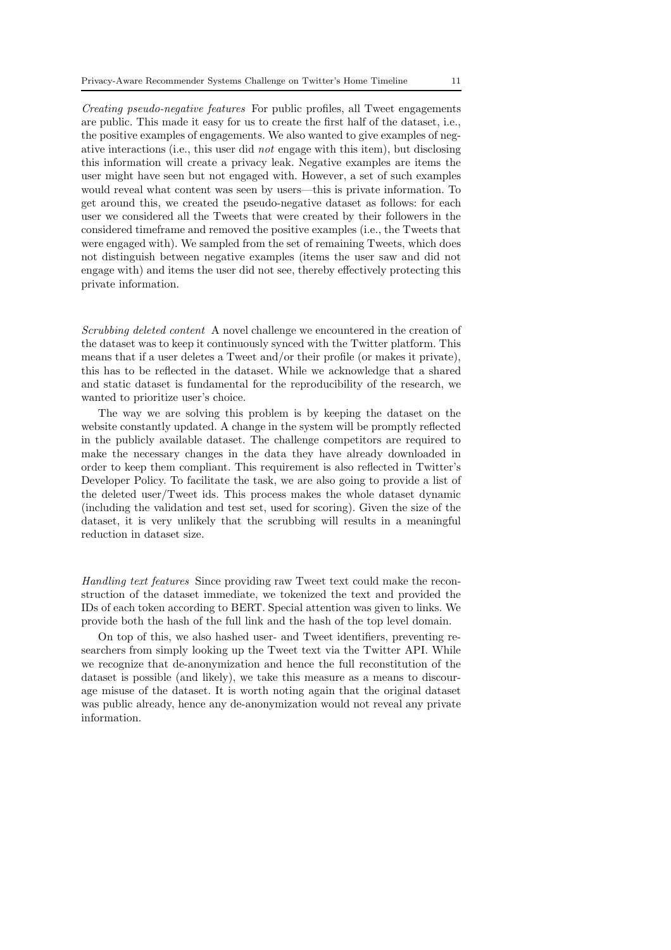Creating pseudo-negative features For public profiles, all Tweet engagements are public. This made it easy for us to create the first half of the dataset, i.e., the positive examples of engagements. We also wanted to give examples of negative interactions (i.e., this user did not engage with this item), but disclosing this information will create a privacy leak. Negative examples are items the user might have seen but not engaged with. However, a set of such examples would reveal what content was seen by users—this is private information. To get around this, we created the pseudo-negative dataset as follows: for each user we considered all the Tweets that were created by their followers in the considered timeframe and removed the positive examples (i.e., the Tweets that were engaged with). We sampled from the set of remaining Tweets, which does not distinguish between negative examples (items the user saw and did not engage with) and items the user did not see, thereby effectively protecting this private information.

Scrubbing deleted content A novel challenge we encountered in the creation of the dataset was to keep it continuously synced with the Twitter platform. This means that if a user deletes a Tweet and/or their profile (or makes it private), this has to be reflected in the dataset. While we acknowledge that a shared and static dataset is fundamental for the reproducibility of the research, we wanted to prioritize user's choice.

The way we are solving this problem is by keeping the dataset on the website constantly updated. A change in the system will be promptly reflected in the publicly available dataset. The challenge competitors are required to make the necessary changes in the data they have already downloaded in order to keep them compliant. This requirement is also reflected in Twitter's Developer Policy. To facilitate the task, we are also going to provide a list of the deleted user/Tweet ids. This process makes the whole dataset dynamic (including the validation and test set, used for scoring). Given the size of the dataset, it is very unlikely that the scrubbing will results in a meaningful reduction in dataset size.

Handling text features Since providing raw Tweet text could make the reconstruction of the dataset immediate, we tokenized the text and provided the IDs of each token according to BERT. Special attention was given to links. We provide both the hash of the full link and the hash of the top level domain.

On top of this, we also hashed user- and Tweet identifiers, preventing researchers from simply looking up the Tweet text via the Twitter API. While we recognize that de-anonymization and hence the full reconstitution of the dataset is possible (and likely), we take this measure as a means to discourage misuse of the dataset. It is worth noting again that the original dataset was public already, hence any de-anonymization would not reveal any private information.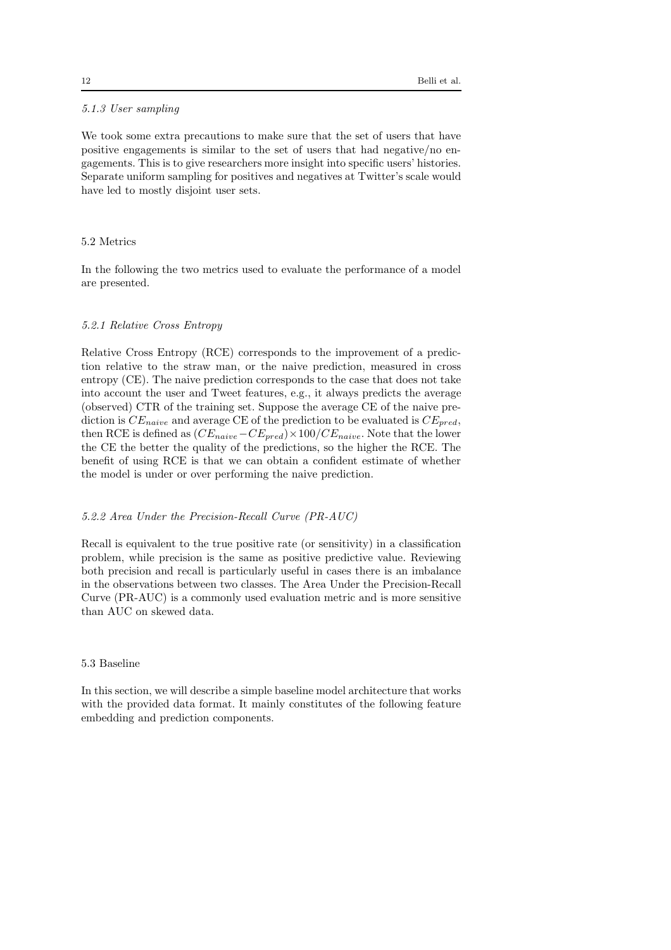# 5.1.3 User sampling

We took some extra precautions to make sure that the set of users that have positive engagements is similar to the set of users that had negative/no engagements. This is to give researchers more insight into specific users' histories. Separate uniform sampling for positives and negatives at Twitter's scale would have led to mostly disjoint user sets.

## 5.2 Metrics

In the following the two metrics used to evaluate the performance of a model are presented.

## 5.2.1 Relative Cross Entropy

Relative Cross Entropy (RCE) corresponds to the improvement of a prediction relative to the straw man, or the naive prediction, measured in cross entropy (CE). The naive prediction corresponds to the case that does not take into account the user and Tweet features, e.g., it always predicts the average (observed) CTR of the training set. Suppose the average CE of the naive prediction is  $CE_{naive}$  and average CE of the prediction to be evaluated is  $CE_{pred}$ . then RCE is defined as  $(CE_{naive} - CE_{pred}) \times 100 / CE_{naive}$ . Note that the lower the CE the better the quality of the predictions, so the higher the RCE. The benefit of using RCE is that we can obtain a confident estimate of whether the model is under or over performing the naive prediction.

# 5.2.2 Area Under the Precision-Recall Curve (PR-AUC)

Recall is equivalent to the true positive rate (or sensitivity) in a classification problem, while precision is the same as positive predictive value. Reviewing both precision and recall is particularly useful in cases there is an imbalance in the observations between two classes. The Area Under the Precision-Recall Curve (PR-AUC) is a commonly used evaluation metric and is more sensitive than AUC on skewed data.

## 5.3 Baseline

In this section, we will describe a simple baseline model architecture that works with the provided data format. It mainly constitutes of the following feature embedding and prediction components.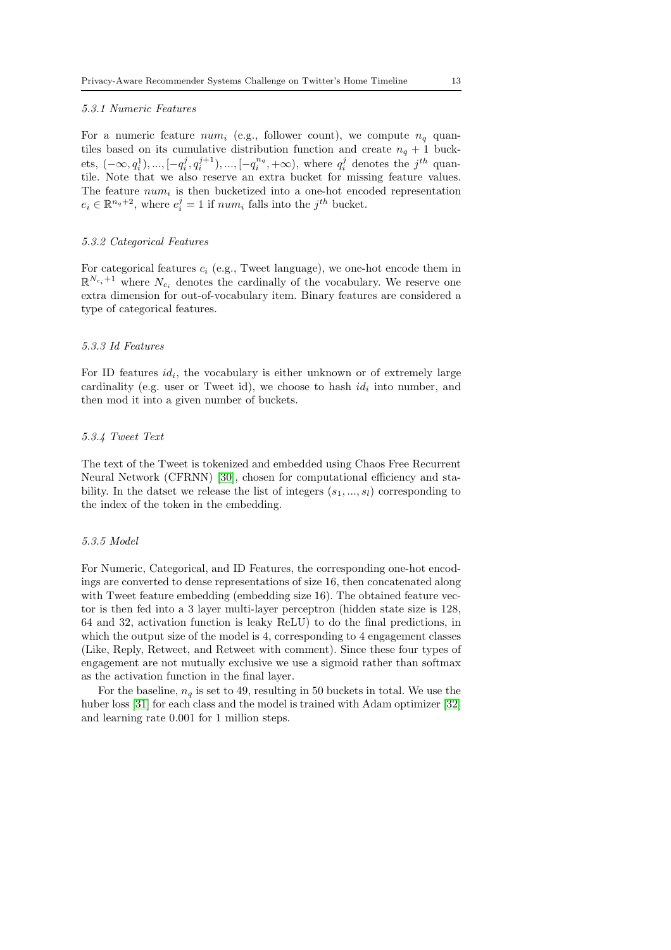#### 5.3.1 Numeric Features

For a numeric feature  $num_i$  (e.g., follower count), we compute  $n_q$  quantiles based on its cumulative distribution function and create  $n_q + 1$  buckets,  $(-\infty, q_i^1), ..., [-q_i^j, q_i^{j+1}), ..., [-q_i^{n_q}, +\infty)$ , where  $q_i^j$  denotes the  $j^{th}$  quantile. Note that we also reserve an extra bucket for missing feature values. The feature  $num_i$  is then bucketized into a one-hot encoded representation  $e_i \in \mathbb{R}^{n_q+2}$ , where  $e_i^j = 1$  if  $num_i$  falls into the  $j^{th}$  bucket.

#### 5.3.2 Categorical Features

For categorical features  $c_i$  (e.g., Tweet language), we one-hot encode them in  $\mathbb{R}^{N_{c_i}+1}$  where  $N_{c_i}$  denotes the cardinally of the vocabulary. We reserve one extra dimension for out-of-vocabulary item. Binary features are considered a type of categorical features.

### 5.3.3 Id Features

For ID features  $id_i$ , the vocabulary is either unknown or of extremely large cardinality (e.g. user or Tweet id), we choose to hash  $id_i$  into number, and then mod it into a given number of buckets.

### 5.3.4 Tweet Text

The text of the Tweet is tokenized and embedded using Chaos Free Recurrent Neural Network (CFRNN) [\[30\]](#page-15-1), chosen for computational efficiency and stability. In the datset we release the list of integers  $(s_1, ..., s_l)$  corresponding to the index of the token in the embedding.

### 5.3.5 Model

For Numeric, Categorical, and ID Features, the corresponding one-hot encodings are converted to dense representations of size 16, then concatenated along with Tweet feature embedding (embedding size 16). The obtained feature vector is then fed into a 3 layer multi-layer perceptron (hidden state size is 128, 64 and 32, activation function is leaky ReLU) to do the final predictions, in which the output size of the model is 4, corresponding to 4 engagement classes (Like, Reply, Retweet, and Retweet with comment). Since these four types of engagement are not mutually exclusive we use a sigmoid rather than softmax as the activation function in the final layer.

For the baseline,  $n_q$  is set to 49, resulting in 50 buckets in total. We use the huber loss [\[31\]](#page-15-2) for each class and the model is trained with Adam optimizer [\[32\]](#page-15-3) and learning rate 0.001 for 1 million steps.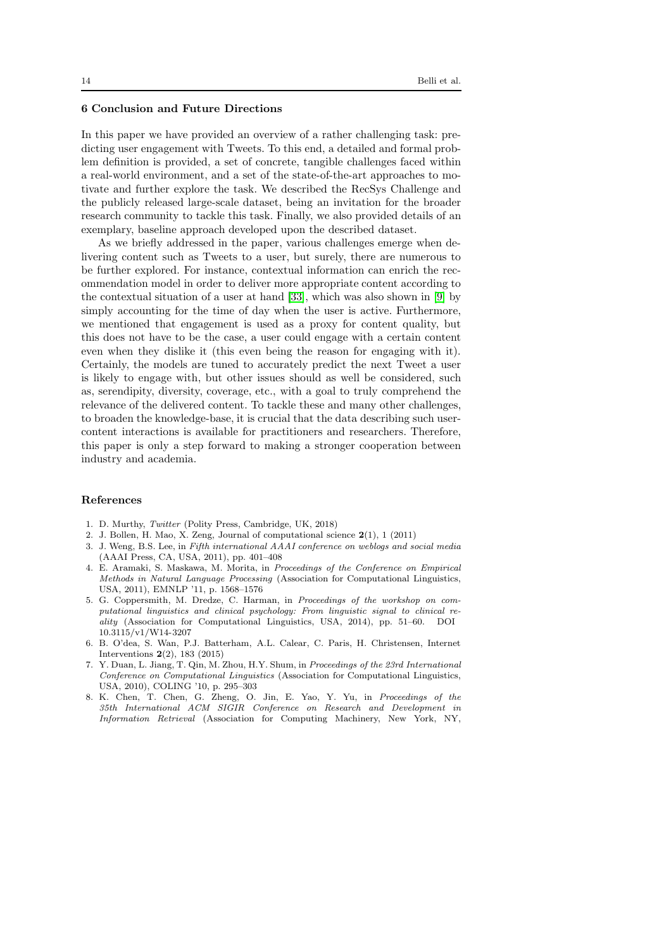## <span id="page-13-8"></span>6 Conclusion and Future Directions

In this paper we have provided an overview of a rather challenging task: predicting user engagement with Tweets. To this end, a detailed and formal problem definition is provided, a set of concrete, tangible challenges faced within a real-world environment, and a set of the state-of-the-art approaches to motivate and further explore the task. We described the RecSys Challenge and the publicly released large-scale dataset, being an invitation for the broader research community to tackle this task. Finally, we also provided details of an exemplary, baseline approach developed upon the described dataset.

As we briefly addressed in the paper, various challenges emerge when delivering content such as Tweets to a user, but surely, there are numerous to be further explored. For instance, contextual information can enrich the recommendation model in order to deliver more appropriate content according to the contextual situation of a user at hand [\[33\]](#page-15-4), which was also shown in [\[9\]](#page-14-0) by simply accounting for the time of day when the user is active. Furthermore, we mentioned that engagement is used as a proxy for content quality, but this does not have to be the case, a user could engage with a certain content even when they dislike it (this even being the reason for engaging with it). Certainly, the models are tuned to accurately predict the next Tweet a user is likely to engage with, but other issues should as well be considered, such as, serendipity, diversity, coverage, etc., with a goal to truly comprehend the relevance of the delivered content. To tackle these and many other challenges, to broaden the knowledge-base, it is crucial that the data describing such usercontent interactions is available for practitioners and researchers. Therefore, this paper is only a step forward to making a stronger cooperation between industry and academia.

## References

- <span id="page-13-1"></span><span id="page-13-0"></span>1. D. Murthy, *Twitter* (Polity Press, Cambridge, UK, 2018)
- <span id="page-13-2"></span>2. J. Bollen, H. Mao, X. Zeng, Journal of computational science 2(1), 1 (2011)
- 3. J. Weng, B.S. Lee, in *Fifth international AAAI conference on weblogs and social media* (AAAI Press, CA, USA, 2011), pp. 401–408
- <span id="page-13-3"></span>4. E. Aramaki, S. Maskawa, M. Morita, in *Proceedings of the Conference on Empirical Methods in Natural Language Processing* (Association for Computational Linguistics, USA, 2011), EMNLP '11, p. 1568–1576
- <span id="page-13-4"></span>5. G. Coppersmith, M. Dredze, C. Harman, in *Proceedings of the workshop on computational linguistics and clinical psychology: From linguistic signal to clinical reality* (Association for Computational Linguistics, USA, 2014), pp. 51–60. DOI 10.3115/v1/W14-3207
- <span id="page-13-5"></span>6. B. O'dea, S. Wan, P.J. Batterham, A.L. Calear, C. Paris, H. Christensen, Internet Interventions 2(2), 183 (2015)
- <span id="page-13-6"></span>7. Y. Duan, L. Jiang, T. Qin, M. Zhou, H.Y. Shum, in *Proceedings of the 23rd International Conference on Computational Linguistics* (Association for Computational Linguistics, USA, 2010), COLING '10, p. 295–303
- <span id="page-13-7"></span>8. K. Chen, T. Chen, G. Zheng, O. Jin, E. Yao, Y. Yu, in *Proceedings of the 35th International ACM SIGIR Conference on Research and Development in Information Retrieval* (Association for Computing Machinery, New York, NY,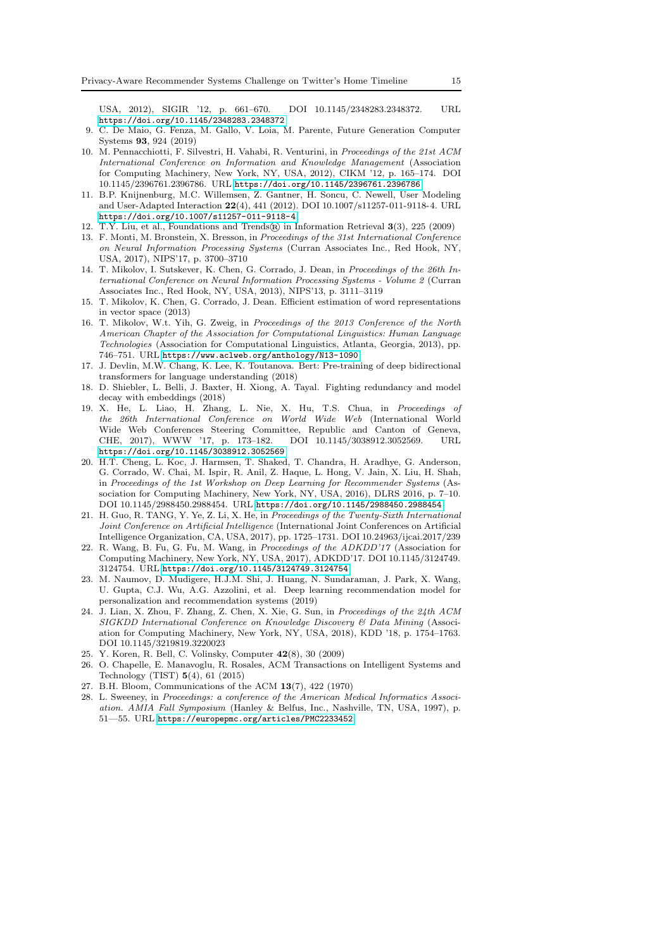USA, 2012), SIGIR '12, p. 661–670. DOI 10.1145/2348283.2348372. URL <https://doi.org/10.1145/2348283.2348372>

- <span id="page-14-0"></span>9. C. De Maio, G. Fenza, M. Gallo, V. Loia, M. Parente, Future Generation Computer Systems 93, 924 (2019)
- <span id="page-14-1"></span>10. M. Pennacchiotti, F. Silvestri, H. Vahabi, R. Venturini, in *Proceedings of the 21st ACM International Conference on Information and Knowledge Management* (Association for Computing Machinery, New York, NY, USA, 2012), CIKM '12, p. 165–174. DOI 10.1145/2396761.2396786. URL <https://doi.org/10.1145/2396761.2396786>
- <span id="page-14-2"></span>11. B.P. Knijnenburg, M.C. Willemsen, Z. Gantner, H. Soncu, C. Newell, User Modeling and User-Adapted Interaction 22(4), 441 (2012). DOI 10.1007/s11257-011-9118-4. URL <https://doi.org/10.1007/s11257-011-9118-4>
- <span id="page-14-4"></span><span id="page-14-3"></span>12. T.Y. Liu, et al., Foundations and Trends $\widehat{\mathbb{R}}$  in Information Retrieval 3(3), 225 (2009)
- 13. F. Monti, M. Bronstein, X. Bresson, in *Proceedings of the 31st International Conference on Neural Information Processing Systems* (Curran Associates Inc., Red Hook, NY, USA, 2017), NIPS'17, p. 3700–3710
- <span id="page-14-5"></span>14. T. Mikolov, I. Sutskever, K. Chen, G. Corrado, J. Dean, in *Proceedings of the 26th International Conference on Neural Information Processing Systems - Volume 2* (Curran Associates Inc., Red Hook, NY, USA, 2013), NIPS'13, p. 3111–3119
- <span id="page-14-6"></span>15. T. Mikolov, K. Chen, G. Corrado, J. Dean. Efficient estimation of word representations in vector space (2013)
- <span id="page-14-7"></span>16. T. Mikolov, W.t. Yih, G. Zweig, in *Proceedings of the 2013 Conference of the North American Chapter of the Association for Computational Linguistics: Human Language Technologies* (Association for Computational Linguistics, Atlanta, Georgia, 2013), pp. 746–751. URL <https://www.aclweb.org/anthology/N13-1090>
- <span id="page-14-8"></span>17. J. Devlin, M.W. Chang, K. Lee, K. Toutanova. Bert: Pre-training of deep bidirectional transformers for language understanding (2018)
- <span id="page-14-9"></span>18. D. Shiebler, L. Belli, J. Baxter, H. Xiong, A. Tayal. Fighting redundancy and model decay with embeddings (2018)
- <span id="page-14-10"></span>19. X. He, L. Liao, H. Zhang, L. Nie, X. Hu, T.S. Chua, in *Proceedings of the 26th International Conference on World Wide Web* (International World Wide Web Conferences Steering Committee, Republic and Canton of Geneva, CHE. 2017). WWW '17. p. 173-182. DOI 10.1145/3038912.3052569. URL CHE, 2017), WWW '17, p. 173–182. DOI 10.1145/3038912.3052569. URL <https://doi.org/10.1145/3038912.3052569>
- <span id="page-14-11"></span>20. H.T. Cheng, L. Koc, J. Harmsen, T. Shaked, T. Chandra, H. Aradhye, G. Anderson, G. Corrado, W. Chai, M. Ispir, R. Anil, Z. Haque, L. Hong, V. Jain, X. Liu, H. Shah, in *Proceedings of the 1st Workshop on Deep Learning for Recommender Systems* (Association for Computing Machinery, New York, NY, USA, 2016), DLRS 2016, p. 7–10. DOI 10.1145/2988450.2988454. URL <https://doi.org/10.1145/2988450.2988454>
- <span id="page-14-12"></span>21. H. Guo, R. TANG, Y. Ye, Z. Li, X. He, in *Proceedings of the Twenty-Sixth International Joint Conference on Artificial Intelligence* (International Joint Conferences on Artificial Intelligence Organization, CA, USA, 2017), pp. 1725–1731. DOI 10.24963/ijcai.2017/239
- <span id="page-14-13"></span>22. R. Wang, B. Fu, G. Fu, M. Wang, in *Proceedings of the ADKDD'17* (Association for Computing Machinery, New York, NY, USA, 2017), ADKDD'17. DOI 10.1145/3124749. 3124754. URL <https://doi.org/10.1145/3124749.3124754>
- <span id="page-14-14"></span>23. M. Naumov, D. Mudigere, H.J.M. Shi, J. Huang, N. Sundaraman, J. Park, X. Wang, U. Gupta, C.J. Wu, A.G. Azzolini, et al. Deep learning recommendation model for personalization and recommendation systems (2019)
- <span id="page-14-15"></span>24. J. Lian, X. Zhou, F. Zhang, Z. Chen, X. Xie, G. Sun, in *Proceedings of the 24th ACM SIGKDD International Conference on Knowledge Discovery & Data Mining* (Association for Computing Machinery, New York, NY, USA, 2018), KDD '18, p. 1754–1763. DOI 10.1145/3219819.3220023
- <span id="page-14-17"></span><span id="page-14-16"></span>25. Y. Koren, R. Bell, C. Volinsky, Computer 42(8), 30 (2009)
- 26. O. Chapelle, E. Manavoglu, R. Rosales, ACM Transactions on Intelligent Systems and Technology (TIST) 5(4), 61 (2015)
- <span id="page-14-19"></span><span id="page-14-18"></span>27. B.H. Bloom, Communications of the ACM 13(7), 422 (1970)
- 28. L. Sweeney, in *Proceedings: a conference of the American Medical Informatics Association. AMIA Fall Symposium* (Hanley & Belfus, Inc., Nashville, TN, USA, 1997), p. 51—55. URL <https://europepmc.org/articles/PMC2233452>